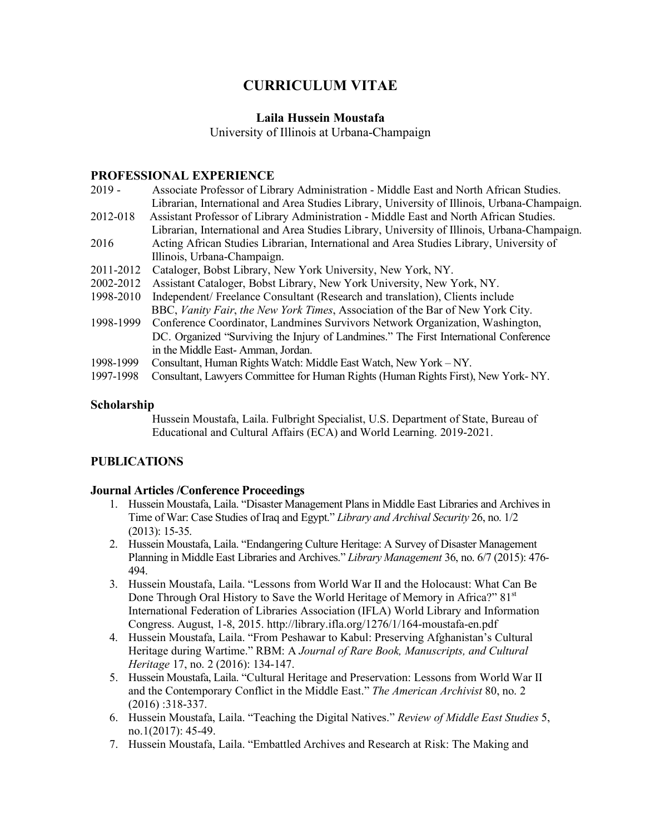# **CURRICULUM VITAE**

# **Laila Hussein Moustafa**

University of Illinois at Urbana-Champaign

#### **PROFESSIONAL EXPERIENCE**

- 2019 Associate Professor of Library Administration Middle East and North African Studies. Librarian, International and Area Studies Library, University of Illinois, Urbana-Champaign. 2012-018 Assistant Professor of Library Administration - Middle East and North African Studies. Librarian, International and Area Studies Library, University of Illinois, Urbana-Champaign. 2016 Acting African Studies Librarian, International and Area Studies Library, University of Illinois, Urbana-Champaign. 2011-2012Cataloger, Bobst Library, New York University, New York, NY. 2002-2012 Assistant Cataloger, Bobst Library, New York University, New York, NY. 1998-2010 Independent/ Freelance Consultant (Research and translation), Clients include BBC, *Vanity Fair*, *the New York Times*, Association of the Bar of New York City. 1998-1999 Conference Coordinator, Landmines Survivors Network Organization, Washington, DC. Organized "Surviving the Injury of Landmines." The First International Conference in the Middle East- Amman, Jordan.
- 1998-1999 Consultant, Human Rights Watch: Middle East Watch, New York NY.
- 1997-1998 Consultant, Lawyers Committee for Human Rights (Human Rights First), New York- NY.

## **Scholarship**

Hussein Moustafa, Laila. Fulbright Specialist, U.S. Department of State, Bureau of Educational and Cultural Affairs (ECA) and World Learning. 2019-2021.

# **PUBLICATIONS**

## **Journal Articles /Conference Proceedings**

- 1. Hussein Moustafa, Laila. "Disaster Management Plans in Middle East Libraries and Archives in Time of War: Case Studies of Iraq and Egypt." *Library and Archival Security* 26, no. 1/2 (2013): 15-35.
- 2. Hussein Moustafa, Laila. "Endangering Culture Heritage: A Survey of Disaster Management Planning in Middle East Libraries and Archives." *Library Management* 36, no. 6/7 (2015): 476- 494.
- 3. Hussein Moustafa, Laila. "Lessons from World War II and the Holocaust: What Can Be Done Through Oral History to Save the World Heritage of Memory in Africa?" 81<sup>st</sup> International Federation of Libraries Association (IFLA) World Library and Information Congress. August, 1-8, 2015. http://library.ifla.org/1276/1/164-moustafa-en.pdf
- 4. Hussein Moustafa, Laila. "From Peshawar to Kabul: Preserving Afghanistan's Cultural Heritage during Wartime." RBM: A *Journal of Rare Book, Manuscripts, and Cultural Heritage* 17, no. 2 (2016): 134-147.
- 5. Hussein Moustafa, Laila. "Cultural Heritage and Preservation: Lessons from World War II and the Contemporary Conflict in the Middle East." *The American Archivist* 80, no. 2 (2016) :318-337.
- 6. Hussein Moustafa, Laila. "Teaching the Digital Natives." *Review of Middle East Studies* 5, no.1(2017): 45-49.
- 7. Hussein Moustafa, Laila. "Embattled Archives and Research at Risk: The Making and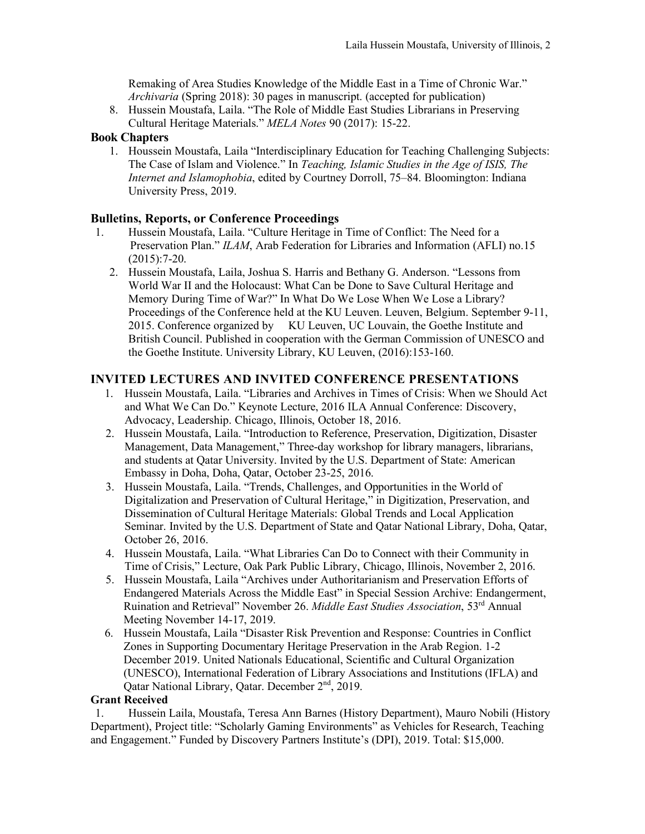Remaking of Area Studies Knowledge of the Middle East in a Time of Chronic War." *Archivaria* (Spring 2018): 30 pages in manuscript. (accepted for publication)

8. Hussein Moustafa, Laila. "The Role of Middle East Studies Librarians in Preserving Cultural Heritage Materials." *MELA Notes* 90 (2017): 15-22.

#### **Book Chapters**

1. Houssein Moustafa, Laila "Interdisciplinary Education for Teaching Challenging Subjects: The Case of Islam and Violence." In *Teaching, Islamic Studies in the Age of ISIS, The Internet and Islamophobia*, edited by Courtney Dorroll, 75–84. Bloomington: Indiana University Press, 2019.

#### **Bulletins, Reports, or Conference Proceedings**

- 1. Hussein Moustafa, Laila. "Culture Heritage in Time of Conflict: The Need for a Preservation Plan." *ILAM*, Arab Federation for Libraries and Information (AFLI) no.15  $(2015):7-20.$ 
	- 2. Hussein Moustafa, Laila, Joshua S. Harris and Bethany G. Anderson. "Lessons from World War II and the Holocaust: What Can be Done to Save Cultural Heritage and Memory During Time of War?" In What Do We Lose When We Lose a Library? Proceedings of the Conference held at the KU Leuven. Leuven, Belgium. September 9-11, 2015. Conference organized by KU Leuven, UC Louvain, the Goethe Institute and British Council. Published in cooperation with the German Commission of UNESCO and the Goethe Institute. University Library, KU Leuven, (2016):153-160.

## **INVITED LECTURES AND INVITED CONFERENCE PRESENTATIONS**

- 1. Hussein Moustafa, Laila. "Libraries and Archives in Times of Crisis: When we Should Act and What We Can Do." Keynote Lecture, 2016 ILA Annual Conference: Discovery, Advocacy, Leadership. Chicago, Illinois, October 18, 2016.
- 2. Hussein Moustafa, Laila. "Introduction to Reference, Preservation, Digitization, Disaster Management, Data Management," Three-day workshop for library managers, librarians, and students at Qatar University. Invited by the U.S. Department of State: American Embassy in Doha, Doha, Qatar, October 23-25, 2016.
- 3. Hussein Moustafa, Laila. "Trends, Challenges, and Opportunities in the World of Digitalization and Preservation of Cultural Heritage," in Digitization, Preservation, and Dissemination of Cultural Heritage Materials: Global Trends and Local Application Seminar. Invited by the U.S. Department of State and Qatar National Library, Doha, Qatar, October 26, 2016.
- 4. Hussein Moustafa, Laila. "What Libraries Can Do to Connect with their Community in Time of Crisis," Lecture, Oak Park Public Library, Chicago, Illinois, November 2, 2016.
- 5. Hussein Moustafa, Laila "Archives under Authoritarianism and Preservation Efforts of Endangered Materials Across the Middle East" in Special Session Archive: Endangerment, Ruination and Retrieval" November 26. *Middle East Studies Association*, 53rd Annual Meeting November 14-17, 2019.
- 6. Hussein Moustafa, Laila "Disaster Risk Prevention and Response: Countries in Conflict Zones in Supporting Documentary Heritage Preservation in the Arab Region. 1-2 December 2019. United Nationals Educational, Scientific and Cultural Organization (UNESCO), International Federation of Library Associations and Institutions (IFLA) and Qatar National Library, Qatar. December 2<sup>nd</sup>, 2019.

#### **Grant Received**

1. Hussein Laila, Moustafa, Teresa Ann Barnes (History Department), Mauro Nobili (History Department), Project title: "Scholarly Gaming Environments" as Vehicles for Research, Teaching and Engagement." Funded by Discovery Partners Institute's (DPI), 2019. Total: \$15,000.